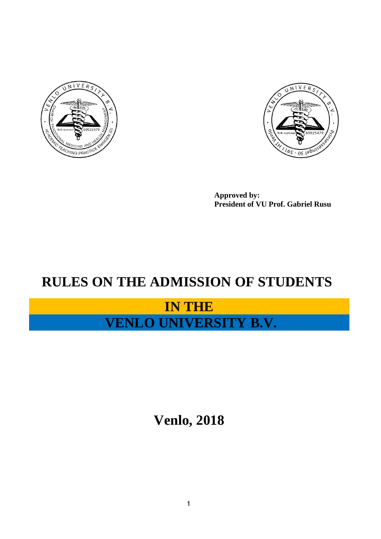



**Approved by: President of VU Prof. Gabriel Rusu**

# **RULES ON THE ADMISSION OF STUDENTS**

## **IN THE VENLO UNIVERSITY B.V.**

**Venlo, 2018**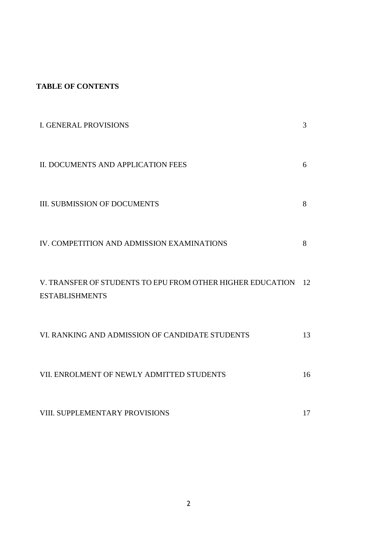### **TABLE OF CONTENTS**

| <b>I. GENERAL PROVISIONS</b>                                                        | 3  |
|-------------------------------------------------------------------------------------|----|
| II. DOCUMENTS AND APPLICATION FEES                                                  | 6  |
| <b>III. SUBMISSION OF DOCUMENTS</b>                                                 | 8  |
| IV. COMPETITION AND ADMISSION EXAMINATIONS                                          | 8  |
| V. TRANSFER OF STUDENTS TO EPU FROM OTHER HIGHER EDUCATION<br><b>ESTABLISHMENTS</b> | 12 |
| VI. RANKING AND ADMISSION OF CANDIDATE STUDENTS                                     | 13 |
| VII. ENROLMENT OF NEWLY ADMITTED STUDENTS                                           | 16 |
| VIII. SUPPLEMENTARY PROVISIONS                                                      | 17 |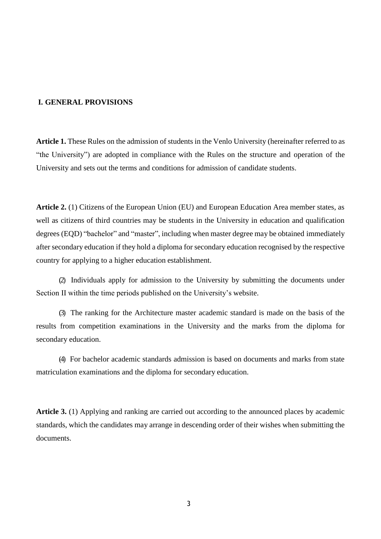#### **I. GENERAL PROVISIONS**

**Article 1.** These Rules on the admission of students in the Venlo University (hereinafter referred to as "the University") are adopted in compliance with the Rules on the structure and operation of the University and sets out the terms and conditions for admission of candidate students.

**Article 2.** (1) Citizens of the European Union (EU) and European Education Area member states, as well as citizens of third countries may be students in the University in education and qualification degrees (EQD) "bachelor" and "master", including when master degree may be obtained immediately after secondary education if they hold a diploma for secondary education recognised by the respective country for applying to a higher education establishment.

(2) Individuals apply for admission to the University by submitting the documents under Section II within the time periods published on the University's website.

(3) The ranking for the Architecture master academic standard is made on the basis of the results from competition examinations in the University and the marks from the diploma for secondary education.

(4) For bachelor academic standards admission is based on documents and marks from state matriculation examinations and the diploma for secondary education.

**Article 3.** (1) Applying and ranking are carried out according to the announced places by academic standards, which the candidates may arrange in descending order of their wishes when submitting the documents.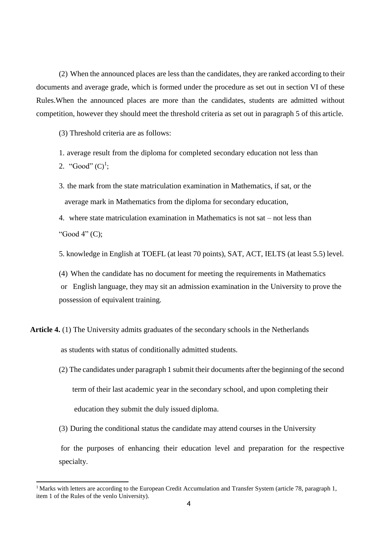(2) When the announced places are less than the candidates, they are ranked according to their documents and average grade, which is formed under the procedure as set out in section VI of these Rules.When the announced places are more than the candidates, students are admitted without competition, however they should meet the threshold criteria as set out in paragraph 5 of this article.

(3) Threshold criteria are as follows:

- 1. average result from the diploma for completed secondary education not less than
- 2. "Good"  $(C)^1$ ;
- 3. the mark from the state matriculation examination in Mathematics, if sat, or the average mark in Mathematics from the diploma for secondary education,
- 4. where state matriculation examination in Mathematics is not sat not less than "Good 4" (C);

5. knowledge in English at TOEFL (at least 70 points), SAT, ACT, IELTS (at least 5.5) level.

(4) When the candidate has no document for meeting the requirements in Mathematics or English language, they may sit an admission examination in the University to prove the possession of equivalent training.

**Article 4.** (1) The University admits graduates of the secondary schools in the Netherlands as students with status of conditionally admitted students.

- (2) The candidates under paragraph 1 submit their documents after the beginning of the second term of their last academic year in the secondary school, and upon completing their education they submit the duly issued diploma.
- (3) During the conditional status the candidate may attend courses in the University for the purposes of enhancing their education level and preparation for the respective specialty.

<sup>&</sup>lt;sup>1</sup> Marks with letters are according to the European Credit Accumulation and Transfer System (article 78, paragraph 1, item 1 of the Rules of the venlo University).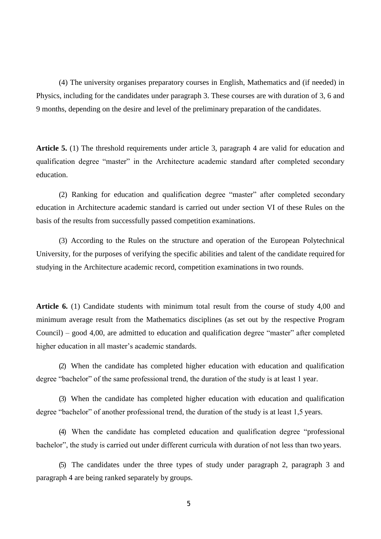(4) The university organises preparatory courses in English, Mathematics and (if needed) in Physics, including for the candidates under paragraph 3. These courses are with duration of 3, 6 and 9 months, depending on the desire and level of the preliminary preparation of the candidates.

**Article 5.** (1) The threshold requirements under article 3, paragraph 4 are valid for education and qualification degree "master" in the Architecture academic standard after completed secondary education.

(2) Ranking for education and qualification degree "master" after completed secondary education in Architecture academic standard is carried out under section VI of these Rules on the basis of the results from successfully passed competition examinations.

(3) According to the Rules on the structure and operation of the European Polytechnical University, for the purposes of verifying the specific abilities and talent of the candidate required for studying in the Architecture academic record, competition examinations in two rounds.

**Article 6.** (1) Candidate students with minimum total result from the course of study 4,00 and minimum average result from the Mathematics disciplines (as set out by the respective Program Council) – good 4,00, are admitted to education and qualification degree "master" after completed higher education in all master's academic standards.

(2) When the candidate has completed higher education with education and qualification degree "bachelor" of the same professional trend, the duration of the study is at least 1 year.

(3) When the candidate has completed higher education with education and qualification degree "bachelor" of another professional trend, the duration of the study is at least 1,5 years.

(4) When the candidate has completed education and qualification degree "professional bachelor", the study is carried out under different curricula with duration of not less than two years.

(5) The candidates under the three types of study under paragraph 2, paragraph 3 and paragraph 4 are being ranked separately by groups.

5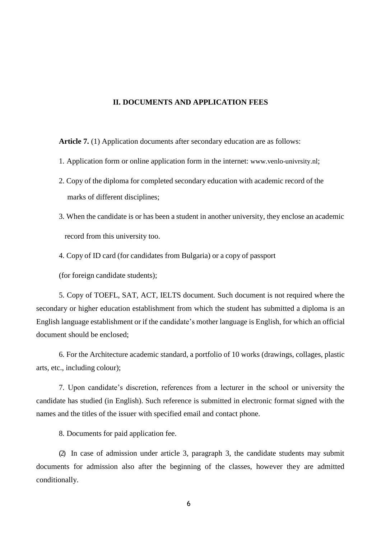#### **II. DOCUMENTS AND APPLICATION FEES**

**Article 7.** (1) Application documents after secondary education are as follows:

- 1. Application form or online application form in the internet: www.venlo-univrsity.nl;
- 2. Copy of the diploma for completed secondary education with academic record of the marks of different disciplines;
- 3. When the candidate is or has been a student in another university, they enclose an academic record from this university too.
- 4. Copy of ID card (for candidates from Bulgaria) or a copy of passport

(for foreign candidate students);

5. Copy of TOEFL, SAT, ACT, IELTS document. Such document is not required where the secondary or higher education establishment from which the student has submitted a diploma is an English language establishment or if the candidate's mother language is English, for which an official document should be enclosed;

6. For the Architecture academic standard, a portfolio of 10 works (drawings, collages, plastic arts, etc., including colour);

7. Upon candidate's discretion, references from a lecturer in the school or university the candidate has studied (in English). Such reference is submitted in electronic format signed with the names and the titles of the issuer with specified email and contact phone.

8. Documents for paid application fee.

(2) In case of admission under article 3, paragraph 3, the candidate students may submit documents for admission also after the beginning of the classes, however they are admitted conditionally.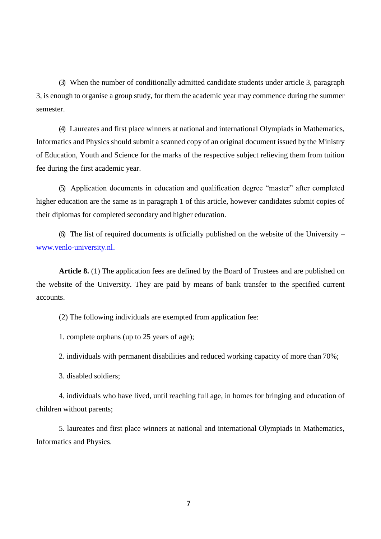(3) When the number of conditionally admitted candidate students under article 3, paragraph 3, is enough to organise a group study, for them the academic year may commence during the summer semester.

(4) Laureates and first place winners at national and international Olympiads in Mathematics, Informatics and Physics should submit a scanned copy of an original document issued by the Ministry of Education, Youth and Science for the marks of the respective subject relieving them from tuition fee during the first academic year.

(5) Application documents in education and qualification degree "master" after completed higher education are the same as in paragraph 1 of this article, however candidates submit copies of their diplomas for completed secondary and higher education.

(6) The list of required documents is officially published on the website of the University – [www.venlo-university.nl.](http://www.venlo-university.nl./)

**Article 8.** (1) The application fees are defined by the Board of Trustees and are published on the website of the University. They are paid by means of bank transfer to the specified current accounts.

(2) The following individuals are exempted from application fee:

1. complete orphans (up to 25 years of age);

2. individuals with permanent disabilities and reduced working capacity of more than 70%;

3. disabled soldiers;

4. individuals who have lived, until reaching full age, in homes for bringing and education of children without parents;

5. laureates and first place winners at national and international Olympiads in Mathematics, Informatics and Physics.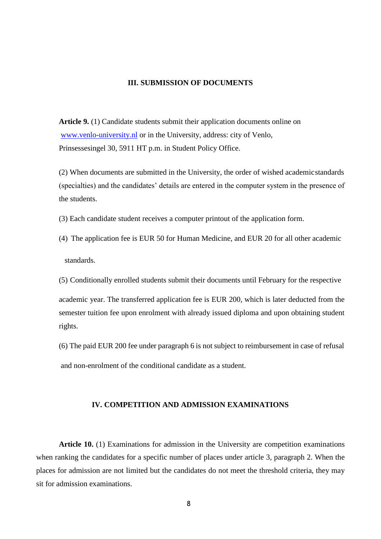#### **III. SUBMISSION OF DOCUMENTS**

**Article 9.** (1) Candidate students submit their application documents online on [www.venlo-university.nl](http://www.venlo-university.nl/) or in the University, address: city of Venlo, Prinsessesingel 30, 5911 HT p.m. in Student Policy Office.

(2) When documents are submitted in the University, the order of wished academicstandards (specialties) and the candidates' details are entered in the computer system in the presence of the students.

- (3) Each candidate student receives a computer printout of the application form.
- (4) The application fee is EUR 50 for Human Medicine, and EUR 20 for all other academic standards.
- (5) Conditionally enrolled students submit their documents until February for the respective

academic year. The transferred application fee is EUR 200, which is later deducted from the semester tuition fee upon enrolment with already issued diploma and upon obtaining student rights.

(6) The paid EUR 200 fee under paragraph 6 is not subject to reimbursement in case of refusal and non-enrolment of the conditional candidate as a student.

#### **IV. COMPETITION AND ADMISSION EXAMINATIONS**

**Article 10.** (1) Examinations for admission in the University are competition examinations when ranking the candidates for a specific number of places under article 3, paragraph 2. When the places for admission are not limited but the candidates do not meet the threshold criteria, they may sit for admission examinations.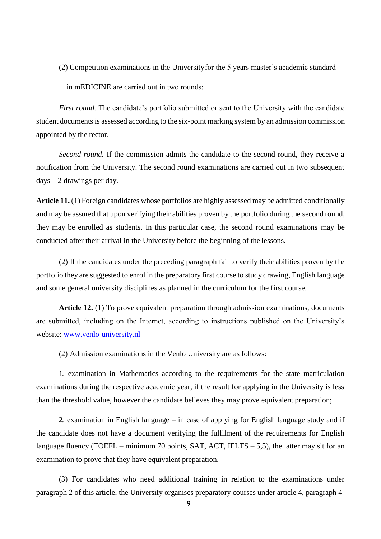(2) Competition examinations in the Universityfor the 5 years master's academic standard in mEDICINE are carried out in two rounds:

*First round.* The candidate's portfolio submitted or sent to the University with the candidate student documents is assessed according to the six-point marking system by an admission commission appointed by the rector.

*Second round.* If the commission admits the candidate to the second round, they receive a notification from the University. The second round examinations are carried out in two subsequent  $days - 2$  drawings per day.

**Article 11.** (1) Foreign candidates whose portfolios are highly assessed may be admitted conditionally and may be assured that upon verifying their abilities proven by the portfolio during the second round, they may be enrolled as students. In this particular case, the second round examinations may be conducted after their arrival in the University before the beginning of the lessons.

(2) If the candidates under the preceding paragraph fail to verify their abilities proven by the portfolio they are suggested to enrol in the preparatory first course to study drawing, English language and some general university disciplines as planned in the curriculum for the first course.

**Article 12.** (1) To prove equivalent preparation through admission examinations, documents are submitted, including on the Internet, according to instructions published on the University's website: [www.venlo-university.nl](http://www.venlo-university.nl/)

(2) Admission examinations in the Venlo University are as follows:

1. examination in Mathematics according to the requirements for the state matriculation examinations during the respective academic year, if the result for applying in the University is less than the threshold value, however the candidate believes they may prove equivalent preparation;

2. examination in English language – in case of applying for English language study and if the candidate does not have a document verifying the fulfilment of the requirements for English language fluency (TOEFL – minimum 70 points, SAT, ACT, IELTS – 5,5), the latter may sit for an examination to prove that they have equivalent preparation.

(3) For candidates who need additional training in relation to the examinations under paragraph 2 of this article, the University organises preparatory courses under article 4, paragraph 4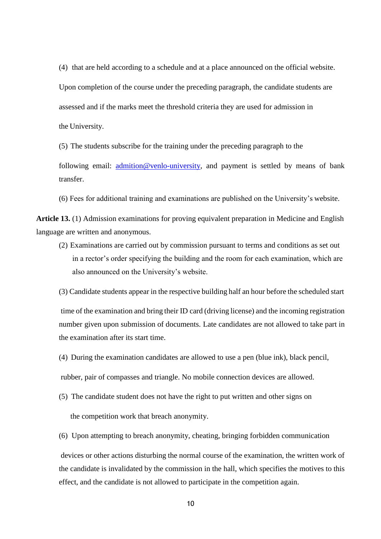(4) that are held according to a schedule and at a place announced on the official website. Upon completion of the course under the preceding paragraph, the candidate students are assessed and if the marks meet the threshold criteria they are used for admission in the University.

(5) The students subscribe for the training under the preceding paragraph to the

following email: [admition@venlo-university, a](mailto:admition@epu.bg)nd payment is settled by means of bank transfer.

(6) Fees for additional training and examinations are published on the University's website.

**Article 13.** (1) Admission examinations for proving equivalent preparation in Medicine and English language are written and anonymous.

- (2) Examinations are carried out by commission pursuant to terms and conditions as set out in a rector's order specifying the building and the room for each examination, which are also announced on the University's website.
- (3) Candidate students appear in the respective building half an hour before the scheduled start

time of the examination and bring their ID card (driving license) and the incoming registration number given upon submission of documents. Late candidates are not allowed to take part in the examination after its start time.

(4) During the examination candidates are allowed to use a pen (blue ink), black pencil,

rubber, pair of compasses and triangle. No mobile connection devices are allowed.

(5) The candidate student does not have the right to put written and other signs on

the competition work that breach anonymity.

(6) Upon attempting to breach anonymity, cheating, bringing forbidden communication

devices or other actions disturbing the normal course of the examination, the written work of the candidate is invalidated by the commission in the hall, which specifies the motives to this effect, and the candidate is not allowed to participate in the competition again.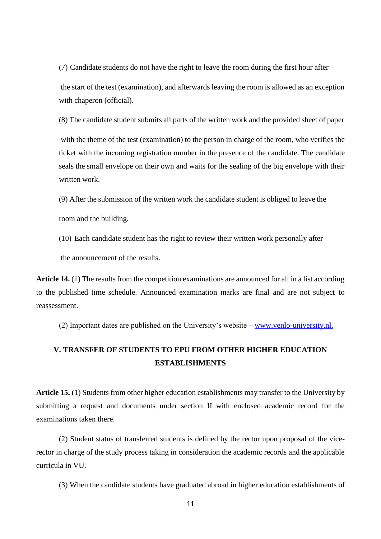(7) Candidate students do not have the right to leave the room during the first hour after the start of the test (examination), and afterwards leaving the room is allowed as an exception with chaperon (official).

(8) The candidate student submits all parts of the written work and the provided sheet of paper

with the theme of the test (examination) to the person in charge of the room, who verifies the ticket with the incoming registration number in the presence of the candidate. The candidate seals the small envelope on their own and waits for the sealing of the big envelope with their written work.

(9) After the submission of the written work the candidate student is obliged to leave the

room and the building.

(10) Each candidate student has the right to review their written work personally after the announcement of the results.

**Article 14.** (1) The results from the competition examinations are announced for all in a list according to the published time schedule. Announced examination marks are final and are not subject to reassessment.

(2) Important dates are published on the University's website  $-\frac{www.venlo-university.nl.}$  $-\frac{www.venlo-university.nl.}$  $-\frac{www.venlo-university.nl.}$ 

### **V. TRANSFER OF STUDENTS TO EPU FROM OTHER HIGHER EDUCATION ESTABLISHMENTS**

**Article 15.** (1) Students from other higher education establishments may transfer to the University by submitting a request and documents under section II with enclosed academic record for the examinations taken there.

(2) Student status of transferred students is defined by the rector upon proposal of the vicerector in charge of the study process taking in consideration the academic records and the applicable curricula in VU.

(3) When the candidate students have graduated abroad in higher education establishments of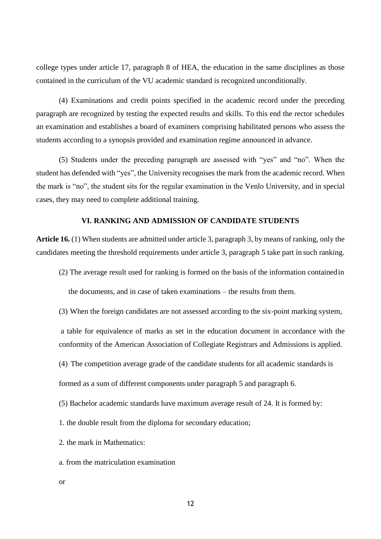college types under article 17, paragraph 8 of HEA, the education in the same disciplines as those contained in the curriculum of the VU academic standard is recognized unconditionally.

(4) Examinations and credit points specified in the academic record under the preceding paragraph are recognized by testing the expected results and skills. To this end the rector schedules an examination and establishes a board of examiners comprising habilitated persons who assess the students according to a synopsis provided and examination regime announced in advance.

(5) Students under the preceding paragraph are assessed with "yes" and "no". When the student has defended with "yes", the University recognises the mark from the academic record. When the mark is "no", the student sits for the regular examination in the Venlo University, and in special cases, they may need to complete additional training.

#### **VI. RANKING AND ADMISSION OF CANDIDATE STUDENTS**

**Article 16.** (1) When students are admitted under article 3, paragraph 3, by means of ranking, only the candidates meeting the threshold requirements under article 3, paragraph 5 take part in such ranking.

(2) The average result used for ranking is formed on the basis of the information containedin

the documents, and in case of taken examinations – the results from them.

(3) When the foreign candidates are not assessed according to the six-point marking system,

a table for equivalence of marks as set in the education document in accordance with the conformity of the American Association of Collegiate Registrars and Admissions is applied.

(4) The competition average grade of the candidate students for all academic standards is

formed as a sum of different components under paragraph 5 and paragraph 6.

(5) Bachelor academic standards have maximum average result of 24. It is formed by:

1. the double result from the diploma for secondary education;

2. the mark in Mathematics:

a. from the matriculation examination

or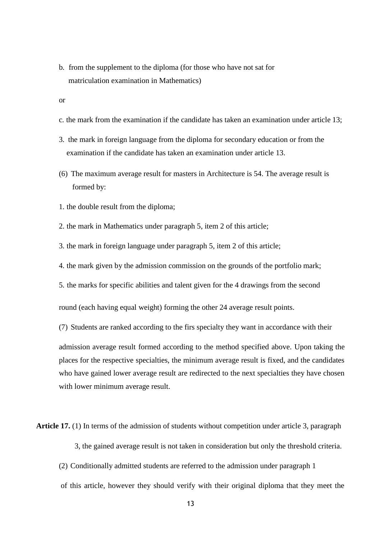- b. from the supplement to the diploma (for those who have not sat for matriculation examination in Mathematics)
- or
- c. the mark from the examination if the candidate has taken an examination under article 13;
- 3. the mark in foreign language from the diploma for secondary education or from the examination if the candidate has taken an examination under article 13.
- (6) The maximum average result for masters in Architecture is 54. The average result is formed by:
- 1. the double result from the diploma;
- 2. the mark in Mathematics under paragraph 5, item 2 of this article;
- 3. the mark in foreign language under paragraph 5, item 2 of this article;
- 4. the mark given by the admission commission on the grounds of the portfolio mark;
- 5. the marks for specific abilities and talent given for the 4 drawings from the second

round (each having equal weight) forming the other 24 average result points.

(7) Students are ranked according to the firs specialty they want in accordance with their

admission average result formed according to the method specified above. Upon taking the places for the respective specialties, the minimum average result is fixed, and the candidates who have gained lower average result are redirected to the next specialties they have chosen with lower minimum average result.

**Article 17.** (1) In terms of the admission of students without competition under article 3, paragraph

- 3, the gained average result is not taken in consideration but only the threshold criteria.
- (2) Conditionally admitted students are referred to the admission under paragraph 1
- of this article, however they should verify with their original diploma that they meet the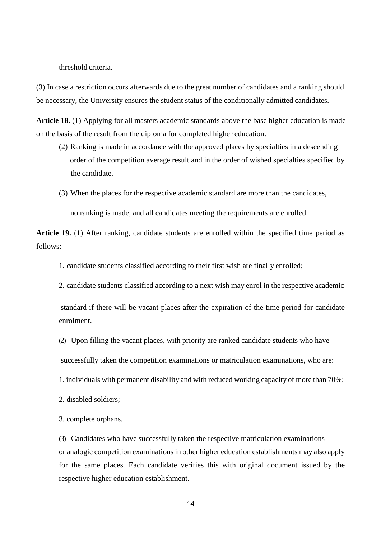threshold criteria.

(3) In case a restriction occurs afterwards due to the great number of candidates and a ranking should be necessary, the University ensures the student status of the conditionally admitted candidates.

**Article 18.** (1) Applying for all masters academic standards above the base higher education is made on the basis of the result from the diploma for completed higher education.

- (2) Ranking is made in accordance with the approved places by specialties in a descending order of the competition average result and in the order of wished specialties specified by the candidate.
- (3) When the places for the respective academic standard are more than the candidates,

no ranking is made, and all candidates meeting the requirements are enrolled.

**Article 19.** (1) After ranking, candidate students are enrolled within the specified time period as follows:

1. candidate students classified according to their first wish are finally enrolled;

2. candidate students classified according to a next wish may enrol in the respective academic

standard if there will be vacant places after the expiration of the time period for candidate enrolment.

(2) Upon filling the vacant places, with priority are ranked candidate students who have

successfully taken the competition examinations or matriculation examinations, who are:

1. individuals with permanent disability and with reduced working capacity of more than 70%;

2. disabled soldiers;

3. complete orphans.

(3) Candidates who have successfully taken the respective matriculation examinations or analogic competition examinations in other higher education establishments may also apply for the same places. Each candidate verifies this with original document issued by the respective higher education establishment.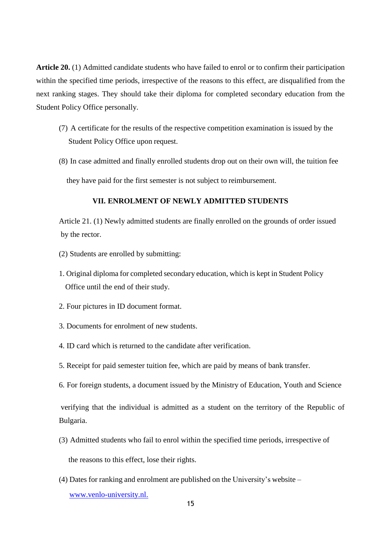**Article 20.** (1) Admitted candidate students who have failed to enrol or to confirm their participation within the specified time periods, irrespective of the reasons to this effect, are disqualified from the next ranking stages. They should take their diploma for completed secondary education from the Student Policy Office personally.

- (7) A certificate for the results of the respective competition examination is issued by the Student Policy Office upon request.
- (8) In case admitted and finally enrolled students drop out on their own will, the tuition fee

they have paid for the first semester is not subject to reimbursement.

#### **VII. ENROLMENT OF NEWLY ADMITTED STUDENTS**

Article 21. (1) Newly admitted students are finally enrolled on the grounds of order issued by the rector.

- (2) Students are enrolled by submitting:
- 1. Original diploma for completed secondary education, which is kept in Student Policy Office until the end of their study.
- 2. Four pictures in ID document format.
- 3. Documents for enrolment of new students.
- 4. ID card which is returned to the candidate after verification.
- 5. Receipt for paid semester tuition fee, which are paid by means of bank transfer.
- 6. For foreign students, a document issued by the Ministry of Education, Youth and Science

verifying that the individual is admitted as a student on the territory of the Republic of Bulgaria.

(3) Admitted students who fail to enrol within the specified time periods, irrespective of

the reasons to this effect, lose their rights.

(4) Dates for ranking and enrolment are published on the University's website –

[www.venlo-university.nl.](http://www.venlo-university.nl./)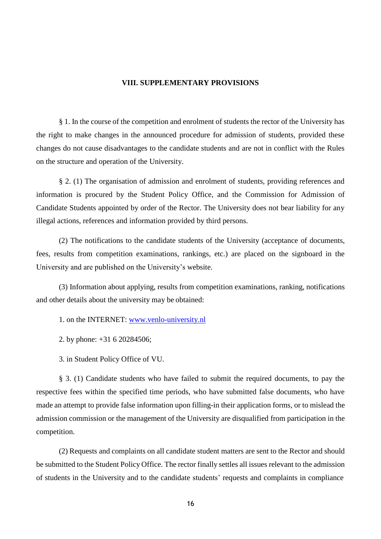#### **VIII. SUPPLEMENTARY PROVISIONS**

§ 1. In the course of the competition and enrolment of students the rector of the University has the right to make changes in the announced procedure for admission of students, provided these changes do not cause disadvantages to the candidate students and are not in conflict with the Rules on the structure and operation of the University.

§ 2. (1) The organisation of admission and enrolment of students, providing references and information is procured by the Student Policy Office, and the Commission for Admission of Candidate Students appointed by order of the Rector. The University does not bear liability for any illegal actions, references and information provided by third persons.

(2) The notifications to the candidate students of the University (acceptance of documents, fees, results from competition examinations, rankings, etc.) are placed on the signboard in the University and are published on the University's website.

(3) Information about applying, results from competition examinations, ranking, notifications and other details about the university may be obtained:

- 1. on the INTERNET: [www.venlo-university.nl](http://www.venlo-university.nl/)
- 2. by phone: +31 6 20284506;
- 3. in Student Policy Office of VU.

§ 3. (1) Candidate students who have failed to submit the required documents, to pay the respective fees within the specified time periods, who have submitted false documents, who have made an attempt to provide false information upon filling-in their application forms, or to mislead the admission commission or the management of the University are disqualified from participation in the competition.

(2) Requests and complaints on all candidate student matters are sent to the Rector and should be submitted to the Student Policy Office. The rector finally settles all issues relevant to the admission of students in the University and to the candidate students' requests and complaints in compliance